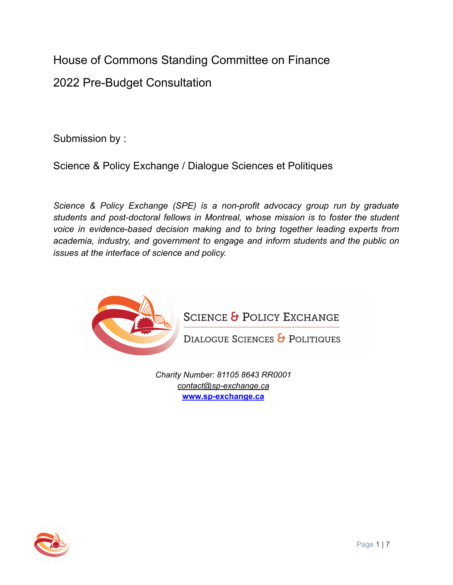House of Commons Standing Committee on Finance 2022 Pre-Budget Consultation

Submission by :

Science & Policy Exchange / Dialogue Sciences et Politiques

*Science & Policy Exchange (SPE) is a non-profit advocacy group run by graduate students and post-doctoral fellows in Montreal, whose mission is to foster the student voice in evidence-based decision making and to bring together leading experts from academia, industry, and government to engage and inform students and the public on issues at the interface of science and policy.*



**SCIENCE & POLICY EXCHANGE** 

DIALOGUE SCIENCES & POLITIQUES

*Charity Number: 81105 8643 RR0001 [contact@sp-exchange.ca](mailto:contact@sp-exchange.ca%09)* **[www.sp-exchange.ca](http://www.sp-exchange.ca)**

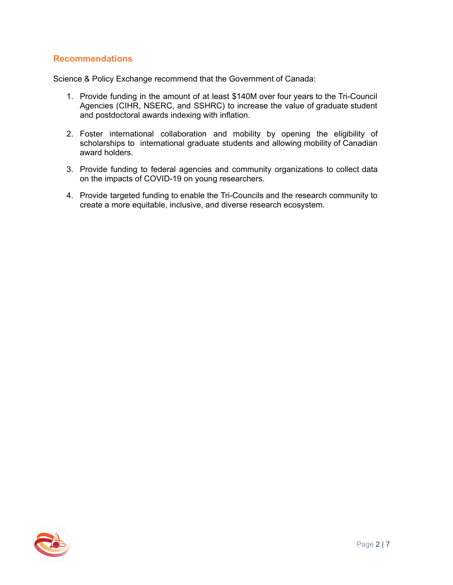# **Recommendations**

Science & Policy Exchange recommend that the Government of Canada:

- 1. Provide funding in the amount of at least \$140M over four years to the Tri-Council Agencies (CIHR, NSERC, and SSHRC) to increase the value of graduate student and postdoctoral awards indexing with inflation.
- 2. Foster international collaboration and mobility by opening the eligibility of scholarships to international graduate students and allowing mobility of Canadian award holders.
- 3. Provide funding to federal agencies and community organizations to collect data on the impacts of COVID-19 on young researchers.
- 4. Provide targeted funding to enable the Tri-Councils and the research community to create a more equitable, inclusive, and diverse research ecosystem.

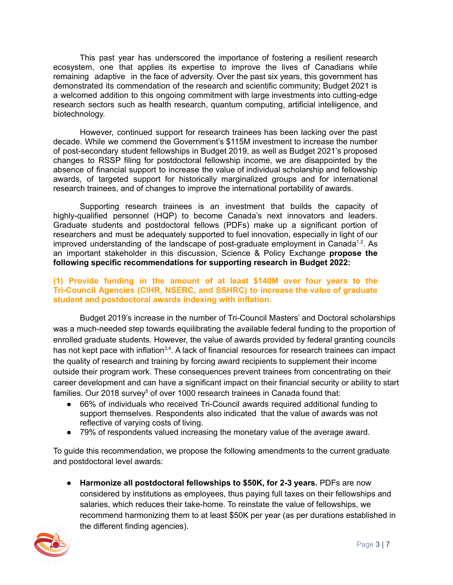This past year has underscored the importance of fostering a resilient research ecosystem, one that applies its expertise to improve the lives of Canadians while remaining adaptive in the face of adversity. Over the past six years, this government has demonstrated its commendation of the research and scientific community; Budget 2021 is a welcomed addition to this ongoing commitment with large investments into cutting-edge research sectors such as health research, quantum computing, artificial intelligence, and biotechnology.

However, continued support for research trainees has been lacking over the past decade. While we commend the Government's \$115M investment to increase the number of post-secondary student fellowships in Budget 2019, as well as Budget 2021's proposed changes to RSSP filing for postdoctoral fellowship income, we are disappointed by the absence of financial support to increase the value of individual scholarship and fellowship awards, of targeted support for historically marginalized groups and for international research trainees, and of changes to improve the international portability of awards.

Supporting research trainees is an investment that builds the capacity of highly-qualified personnel (HQP) to become Canada's next innovators and leaders. Graduate students and postdoctoral fellows (PDFs) make up a significant portion of researchers and must be adequately supported to fuel innovation, especially in light of our improved understanding of the landscape of post-graduate employment in Canada<sup>1,2</sup>. As an important stakeholder in this discussion, Science & Policy Exchange **propose the following specific recommendations for supporting research in Budget 2022:**

#### **(1) Provide funding in the amount of at least \$140M over four years to the Tri-Council Agencies (CIHR, NSERC, and SSHRC) to increase the value of graduate student and postdoctoral awards indexing with inflation.**

Budget 2019's increase in the number of Tri-Council Masters' and Doctoral scholarships was a much-needed step towards equilibrating the available federal funding to the proportion of enrolled graduate students. However, the value of awards provided by federal granting councils has not kept pace with inflation<sup>3,4</sup>. A lack of financial resources for research trainees can impact the quality of research and training by forcing award recipients to supplement their income outside their program work. These consequences prevent trainees from concentrating on their career development and can have a significant impact on their financial security or ability to start families. Our 2018 survey<sup>5</sup> of over 1000 research trainees in Canada found that:

- 66% of individuals who received Tri-Council awards required additional funding to support themselves. Respondents also indicated that the value of awards was not reflective of varying costs of living.
- 79% of respondents valued increasing the monetary value of the average award.

To guide this recommendation, we propose the following amendments to the current graduate and postdoctoral level awards:

● **Harmonize all postdoctoral fellowships to \$50K, for 2-3 years.** PDFs are now considered by institutions as employees, thus paying full taxes on their fellowships and salaries, which reduces their take-home. To reinstate the value of fellowships, we recommend harmonizing them to at least \$50K per year (as per durations established in the different finding agencies).

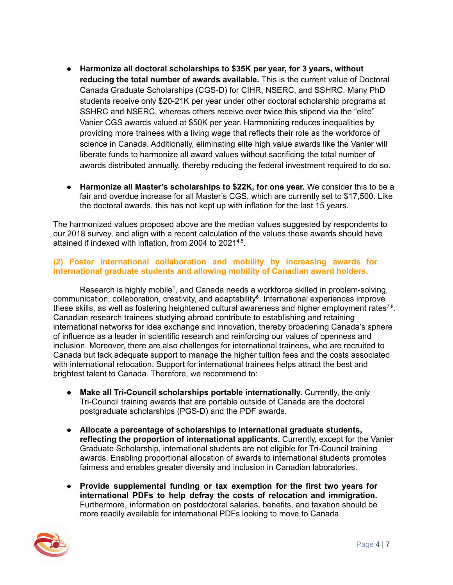- **Harmonize all doctoral scholarships to \$35K per year, for 3 years, without reducing the total number of awards available.** This is the current value of Doctoral Canada Graduate Scholarships (CGS-D) for CIHR, NSERC, and SSHRC. Many PhD students receive only \$20-21K per year under other doctoral scholarship programs at SSHRC and NSERC, whereas others receive over twice this stipend via the "elite" Vanier CGS awards valued at \$50K per year. Harmonizing reduces inequalities by providing more trainees with a living wage that reflects their role as the workforce of science in Canada. Additionally, eliminating elite high value awards like the Vanier will liberate funds to harmonize all award values without sacrificing the total number of awards distributed annually, thereby reducing the federal investment required to do so.
- **Harmonize all Master's scholarships to \$22K, for one year.** We consider this to be a fair and overdue increase for all Master's CGS, which are currently set to \$17,500. Like the doctoral awards, this has not kept up with inflation for the last 15 years.

The harmonized values proposed above are the median values suggested by respondents to our 2018 survey, and align with a recent calculation of the values these awards should have attained if indexed with inflation, from 2004 to 2021<sup>4,5</sup>.

## **(2) Foster international collaboration and mobility by increasing awards for international graduate students and allowing mobility of Canadian award holders.**

Research is highly mobile<sup>1</sup>, and Canada needs a workforce skilled in problem-solving, communication, collaboration, creativity, and adaptability<sup>6</sup>. International experiences improve these skills, as well as fostering heightened cultural awareness and higher employment rates<sup>7,8</sup>. Canadian research trainees studying abroad contribute to establishing and retaining international networks for idea exchange and innovation, thereby broadening Canada's sphere of influence as a leader in scientific research and reinforcing our values of openness and inclusion. Moreover, there are also challenges for international trainees, who are recruited to Canada but lack adequate support to manage the higher tuition fees and the costs associated with international relocation. Support for international trainees helps attract the best and brightest talent to Canada. Therefore, we recommend to:

- **Make all Tri-Council scholarships portable internationally.** Currently, the only Tri-Council training awards that are portable outside of Canada are the doctoral postgraduate scholarships (PGS-D) and the PDF awards.
- **Allocate a percentage of scholarships to international graduate students, reflecting the proportion of international applicants.** Currently, except for the Vanier Graduate Scholarship, international students are not eligible for Tri-Council training awards. Enabling proportional allocation of awards to international students promotes fairness and enables greater diversity and inclusion in Canadian laboratories.
- **Provide supplemental funding or tax exemption for the first two years for international PDFs to help defray the costs of relocation and immigration.** Furthermore, information on postdoctoral salaries, benefits, and taxation should be more readily available for international PDFs looking to move to Canada.

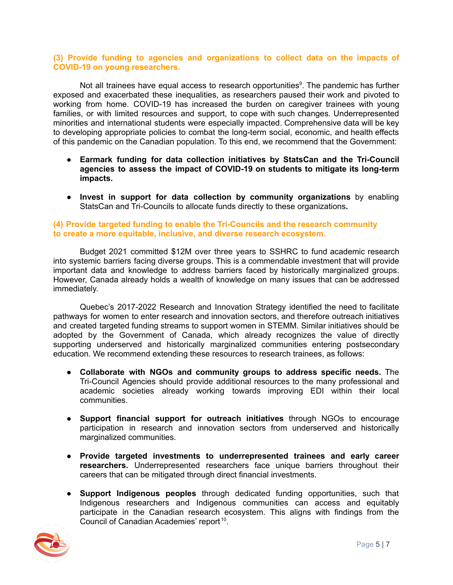### **(3) Provide funding to agencies and organizations to collect data on the impacts of COVID-19 on young researchers.**

Not all trainees have equal access to research opportunities<sup>9</sup>. The pandemic has further exposed and exacerbated these inequalities, as researchers paused their work and pivoted to working from home. COVID-19 has increased the burden on caregiver trainees with young families, or with limited resources and support, to cope with such changes. Underrepresented minorities and international students were especially impacted. Comprehensive data will be key to developing appropriate policies to combat the long-term social, economic, and health effects of this pandemic on the Canadian population. To this end, we recommend that the Government:

- **Earmark funding for data collection initiatives by StatsCan and the Tri-Council agencies to assess the impact of COVID-19 on students to mitigate its long-term impacts.**
- **Invest in support for data collection by community organizations** by enabling StatsCan and Tri-Councils to allocate funds directly to these organizations**.**

### **(4) Provide targeted funding to enable the Tri-Councils and the research community to create a more equitable, inclusive, and diverse research ecosystem.**

Budget 2021 committed \$12M over three years to SSHRC to fund academic research into systemic barriers facing diverse groups. This is a commendable investment that will provide important data and knowledge to address barriers faced by historically marginalized groups. However, Canada already holds a wealth of knowledge on many issues that can be addressed immediately.

Quebec's 2017-2022 Research and Innovation Strategy identified the need to facilitate pathways for women to enter research and innovation sectors, and therefore outreach initiatives and created targeted funding streams to support women in STEMM. Similar initiatives should be adopted by the Government of Canada, which already recognizes the value of directly supporting underserved and historically marginalized communities entering postsecondary education. We recommend extending these resources to research trainees, as follows:

- **Collaborate with NGOs and community groups to address specific needs.** The Tri-Council Agencies should provide additional resources to the many professional and academic societies already working towards improving EDI within their local communities.
- **● Support financial support for outreach initiatives** through NGOs to encourage participation in research and innovation sectors from underserved and historically marginalized communities.
- **Provide targeted investments to underrepresented trainees and early career researchers.** Underrepresented researchers face unique barriers throughout their careers that can be mitigated through direct financial investments.
- **● Support Indigenous peoples** through dedicated funding opportunities, such that Indigenous researchers and Indigenous communities can access and equitably participate in the Canadian research ecosystem. This aligns with findings from the Council of Canadian Academies' report<sup>10</sup>.

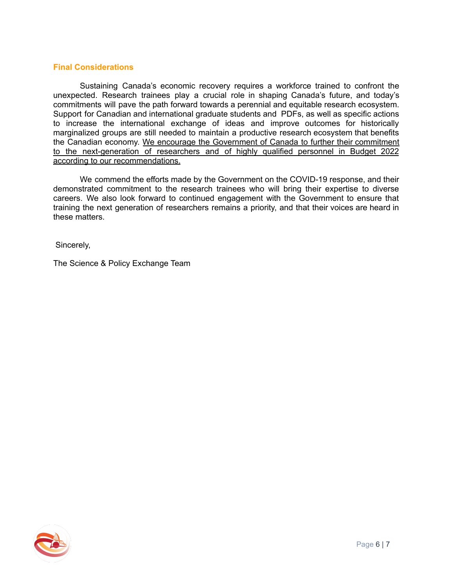### **Final Considerations**

Sustaining Canada's economic recovery requires a workforce trained to confront the unexpected. Research trainees play a crucial role in shaping Canada's future, and today's commitments will pave the path forward towards a perennial and equitable research ecosystem. Support for Canadian and international graduate students and PDFs, as well as specific actions to increase the international exchange of ideas and improve outcomes for historically marginalized groups are still needed to maintain a productive research ecosystem that benefits the Canadian economy. We encourage the Government of Canada to further their commitment to the next-generation of researchers and of highly qualified personnel in Budget 2022 according to our recommendations.

We commend the efforts made by the Government on the COVID-19 response, and their demonstrated commitment to the research trainees who will bring their expertise to diverse careers. We also look forward to continued engagement with the Government to ensure that training the next generation of researchers remains a priority, and that their voices are heard in these matters.

Sincerely,

The Science & Policy Exchange Team